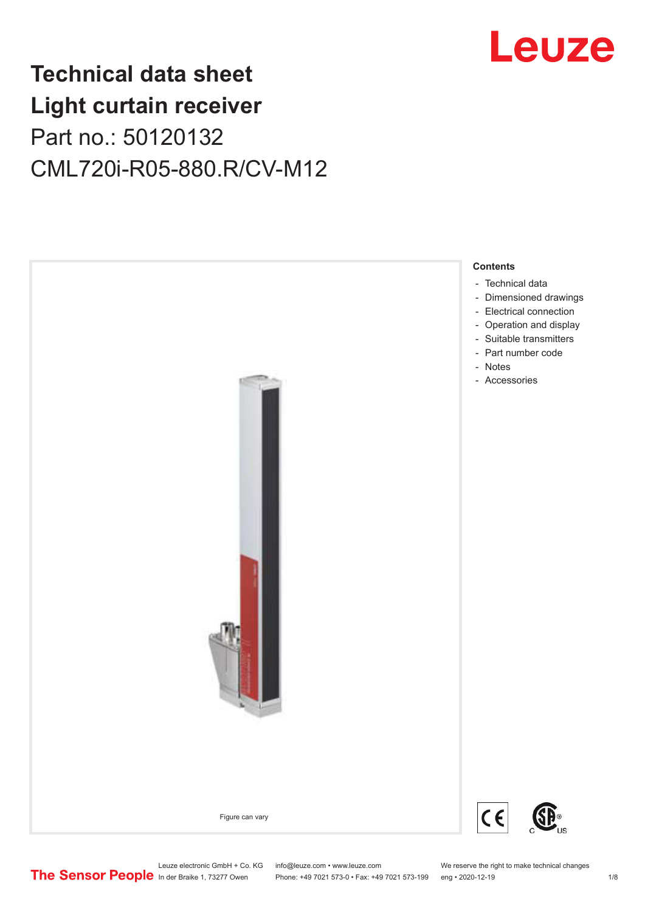

## **Technical data sheet Light curtain receiver** Part no.: 50120132 CML720i-R05-880.R/CV-M12



Leuze electronic GmbH + Co. KG info@leuze.com • www.leuze.com We reserve the right to make technical changes<br>
The Sensor People in der Braike 1, 73277 Owen Phone: +49 7021 573-0 • Fax: +49 7021 573-199 eng • 2020-12-19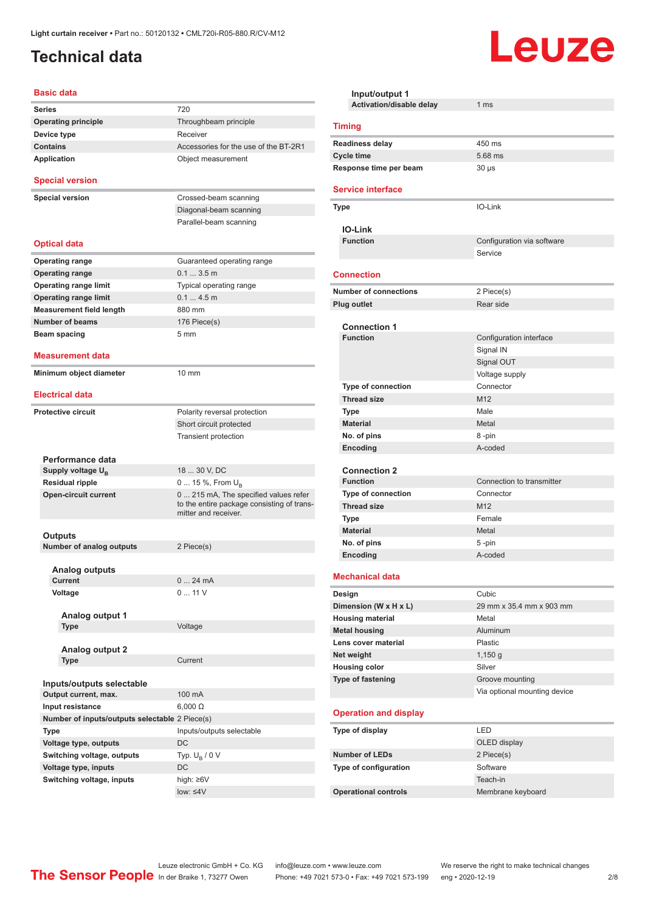## <span id="page-1-0"></span>**Technical data**

#### **Basic data**

| Series                                         | 720                                                                                                        |
|------------------------------------------------|------------------------------------------------------------------------------------------------------------|
| <b>Operating principle</b>                     | Throughbeam principle                                                                                      |
| Device type                                    | Receiver                                                                                                   |
| <b>Contains</b>                                | Accessories for the use of the BT-2R1                                                                      |
| Application                                    | Object measurement                                                                                         |
| <b>Special version</b>                         |                                                                                                            |
| <b>Special version</b>                         | Crossed-beam scanning                                                                                      |
|                                                | Diagonal-beam scanning                                                                                     |
|                                                | Parallel-beam scanning                                                                                     |
| Optical data                                   |                                                                                                            |
| <b>Operating range</b>                         | Guaranteed operating range                                                                                 |
| <b>Operating range</b>                         | 0.13.5m                                                                                                    |
| <b>Operating range limit</b>                   | Typical operating range                                                                                    |
| <b>Operating range limit</b>                   | 0.14.5m                                                                                                    |
| <b>Measurement field length</b>                | 880 mm                                                                                                     |
| <b>Number of beams</b>                         | 176 Piece(s)                                                                                               |
| Beam spacing                                   | 5 mm                                                                                                       |
|                                                |                                                                                                            |
| Measurement data                               |                                                                                                            |
| Minimum object diameter                        | 10 mm                                                                                                      |
|                                                |                                                                                                            |
| <b>Electrical data</b>                         |                                                                                                            |
| <b>Protective circuit</b>                      | Polarity reversal protection                                                                               |
|                                                | Short circuit protected                                                                                    |
|                                                | <b>Transient protection</b>                                                                                |
|                                                |                                                                                                            |
| Performance data                               |                                                                                                            |
| Supply voltage U <sub>B</sub>                  | 18  30 V, DC                                                                                               |
| <b>Residual ripple</b>                         | 0  15 %, From U <sub>B</sub>                                                                               |
| <b>Open-circuit current</b>                    | 0 215 mA, The specified values refer<br>to the entire package consisting of trans-<br>mitter and receiver. |
|                                                |                                                                                                            |
| Outputs                                        |                                                                                                            |
| <b>Number of analog outputs</b>                | 2 Piece(s)                                                                                                 |
| Analog outputs                                 |                                                                                                            |
| Current                                        | 024mA                                                                                                      |
| Voltage                                        | 011V                                                                                                       |
|                                                |                                                                                                            |
| Analog output 1                                |                                                                                                            |
| <b>Type</b>                                    | Voltage                                                                                                    |
|                                                |                                                                                                            |
| <b>Analog output 2</b>                         |                                                                                                            |
| Type                                           | Current                                                                                                    |
|                                                |                                                                                                            |
| Inputs/outputs selectable                      |                                                                                                            |
| Output current, max.                           | 100 mA                                                                                                     |
| Input resistance                               | $6,000 \Omega$                                                                                             |
| Number of inputs/outputs selectable 2 Piece(s) |                                                                                                            |
| Type                                           | Inputs/outputs selectable                                                                                  |
| Voltage type, outputs                          | DC                                                                                                         |
| Switching voltage, outputs                     | Typ. $U_B / 0 V$                                                                                           |
| Voltage type, inputs                           | DC                                                                                                         |
| Switching voltage, inputs                      | high: ≥6V                                                                                                  |
|                                                | low: $\leq 4V$                                                                                             |
|                                                |                                                                                                            |

| Input/output 1<br>Activation/disable delay | 1 <sub>ms</sub>                                 |
|--------------------------------------------|-------------------------------------------------|
|                                            |                                                 |
| <b>Timing</b>                              |                                                 |
| <b>Readiness delay</b>                     | 450 ms                                          |
| <b>Cycle time</b>                          | 5.68 ms                                         |
| Response time per beam                     | $30 \mu s$                                      |
| <b>Service interface</b>                   |                                                 |
| Type                                       | IO-Link                                         |
| <b>IO-Link</b>                             |                                                 |
| <b>Function</b>                            | Configuration via software                      |
|                                            | Service                                         |
| <b>Connection</b>                          |                                                 |
| <b>Number of connections</b>               | 2 Piece(s)                                      |
| <b>Plug outlet</b>                         | Rear side                                       |
|                                            |                                                 |
| <b>Connection 1</b><br><b>Function</b>     | Configuration interface                         |
|                                            |                                                 |
|                                            | Signal IN<br>Signal OUT                         |
|                                            | Voltage supply                                  |
| <b>Type of connection</b>                  | Connector                                       |
| <b>Thread size</b>                         | M <sub>12</sub>                                 |
| <b>Type</b>                                | Male                                            |
| <b>Material</b>                            | Metal                                           |
| No. of pins                                | 8-pin                                           |
| Encoding                                   | A-coded                                         |
|                                            |                                                 |
| <b>Connection 2</b>                        |                                                 |
| <b>Function</b>                            | Connection to transmitter                       |
| <b>Type of connection</b>                  | Connector                                       |
| <b>Thread size</b>                         | M <sub>12</sub>                                 |
| <b>Type</b><br><b>Material</b>             | Female<br>Metal                                 |
| No. of pins                                | 5-pin                                           |
| Encoding                                   | A-coded                                         |
|                                            |                                                 |
| <b>Mechanical data</b>                     |                                                 |
| Design                                     | Cubic                                           |
| Dimension (W x H x L)                      | 29 mm x 35.4 mm x 903 mm                        |
| <b>Housing material</b>                    | Metal                                           |
| <b>Metal housing</b>                       | Aluminum                                        |
| Lens cover material                        | Plastic                                         |
| Net weight                                 | $1,150$ g                                       |
| <b>Housing color</b>                       | Silver                                          |
| Type of fastening                          | Groove mounting<br>Via optional mounting device |
|                                            |                                                 |
| <b>Operation and display</b>               |                                                 |
| Type of display                            | LED                                             |
|                                            | OLED display                                    |
| <b>Number of LEDs</b>                      | 2 Piece(s)                                      |
| Type of configuration                      | Software                                        |
|                                            | Teach-in                                        |
| <b>Operational controls</b>                | Membrane keyboard                               |

Leuze

Leuze electronic GmbH + Co. KG info@leuze.com • www.leuze.com We reserve the right to make technical changes ln der Braike 1, 73277 Owen Phone: +49 7021 573-0 • Fax: +49 7021 573-199 eng • 2020-12-19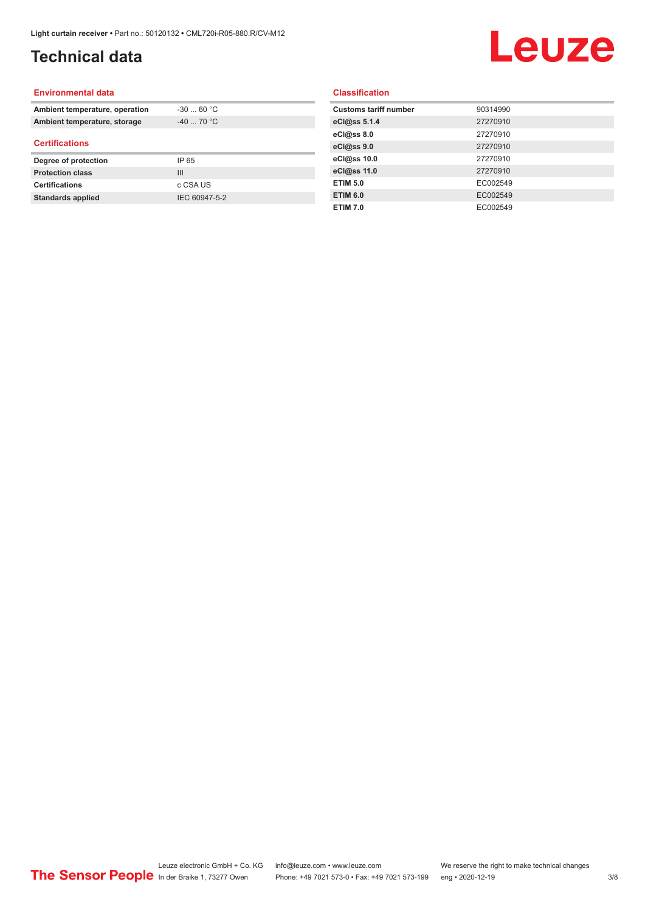## **Technical data**

# Leuze

#### **Environmental data**

| Ambient temperature, operation | $-3060 °C$     |
|--------------------------------|----------------|
| Ambient temperature, storage   | $-40$ 70 °C    |
| <b>Certifications</b>          |                |
|                                |                |
| Degree of protection           | IP 65          |
| <b>Protection class</b>        | $\mathbf{III}$ |
| <b>Certifications</b>          | c CSA US       |

#### **Classification**

| <b>Customs tariff number</b> | 90314990 |
|------------------------------|----------|
| eCl@ss 5.1.4                 | 27270910 |
| eCl@ss 8.0                   | 27270910 |
| eCl@ss 9.0                   | 27270910 |
| eCl@ss 10.0                  | 27270910 |
| eCl@ss 11.0                  | 27270910 |
| <b>ETIM 5.0</b>              | EC002549 |
| <b>ETIM 6.0</b>              | EC002549 |
| <b>ETIM 7.0</b>              | EC002549 |
|                              |          |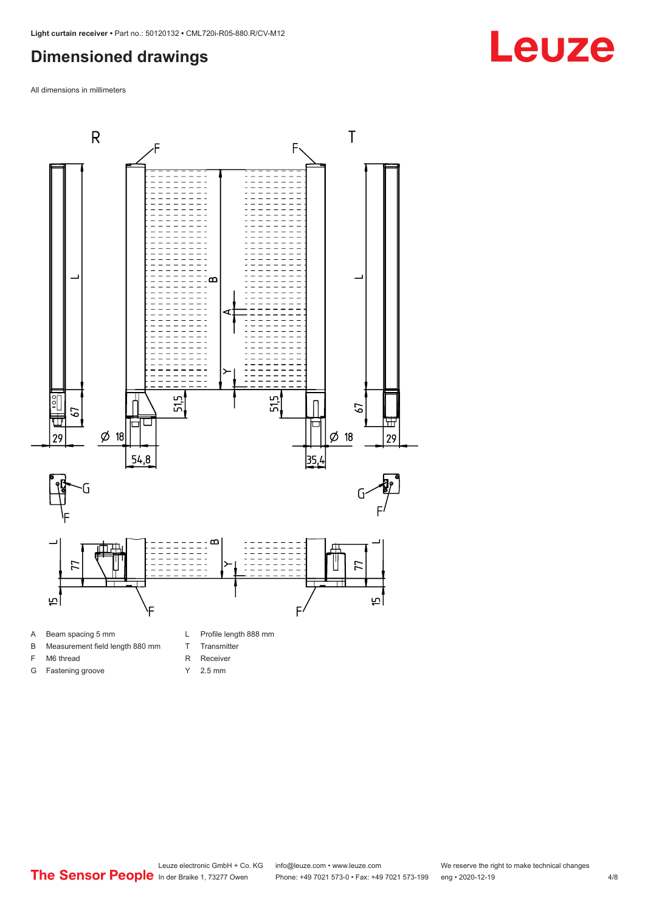### <span id="page-3-0"></span>**Dimensioned drawings**

All dimensions in millimeters





F M6 thread G Fastening groove

- T Transmitter
- R Receiver
- Y 2.5 mm
- 

## **Leuze**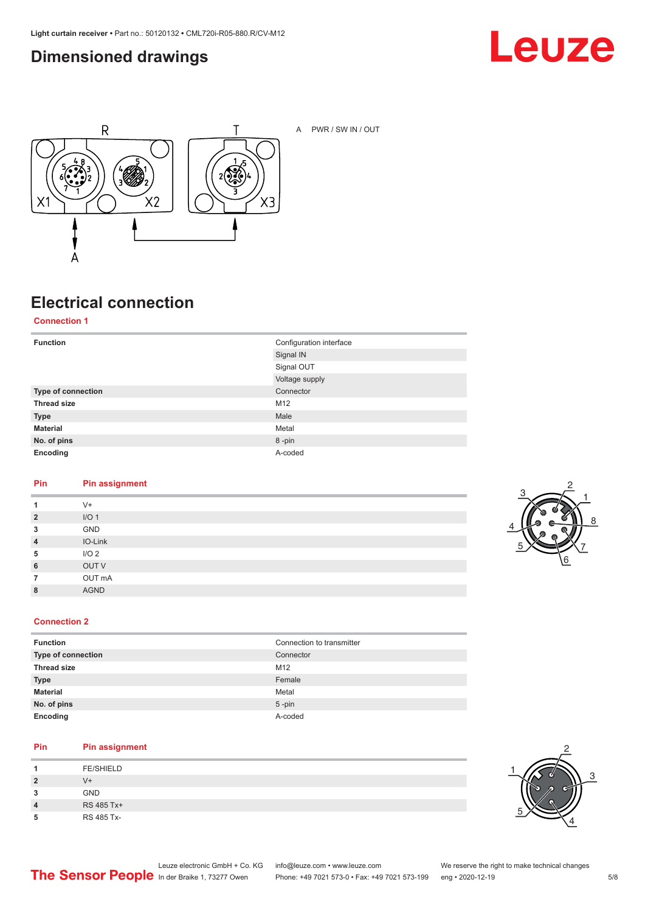### <span id="page-4-0"></span>**Dimensioned drawings**





A PWR / SW IN / OUT

## **Electrical connection**

**Connection 1**

| <b>Function</b>    | Configuration interface |
|--------------------|-------------------------|
|                    | Signal IN               |
|                    | Signal OUT              |
|                    | Voltage supply          |
| Type of connection | Connector               |
| <b>Thread size</b> | M <sub>12</sub>         |
| <b>Type</b>        | Male                    |
| <b>Material</b>    | Metal                   |
| No. of pins        | 8-pin                   |
| Encoding           | A-coded                 |

#### **Pin Pin assignment**

| 1              | $V +$            |
|----------------|------------------|
| $\overline{2}$ | I/O <sub>1</sub> |
| 3              | GND              |
| $\overline{4}$ | IO-Link          |
| 5              | I/O <sub>2</sub> |
| 6              | OUT V            |
| 7              | OUT mA           |
| 8              | <b>AGND</b>      |
|                |                  |



#### **Connection 2**

| <b>Function</b>    | Connection to transmitter |
|--------------------|---------------------------|
| Type of connection | Connector                 |
| <b>Thread size</b> | M12                       |
| <b>Type</b>        | Female                    |
| <b>Material</b>    | Metal                     |
| No. of pins        | $5$ -pin                  |
| Encoding           | A-coded                   |

#### **Pin Pin assignment**

|   | <b>FE/SHIELD</b> |
|---|------------------|
| 2 | $V +$            |
| 3 | <b>GND</b>       |
| 4 | RS 485 Tx+       |
| 5 | RS 485 Tx-       |

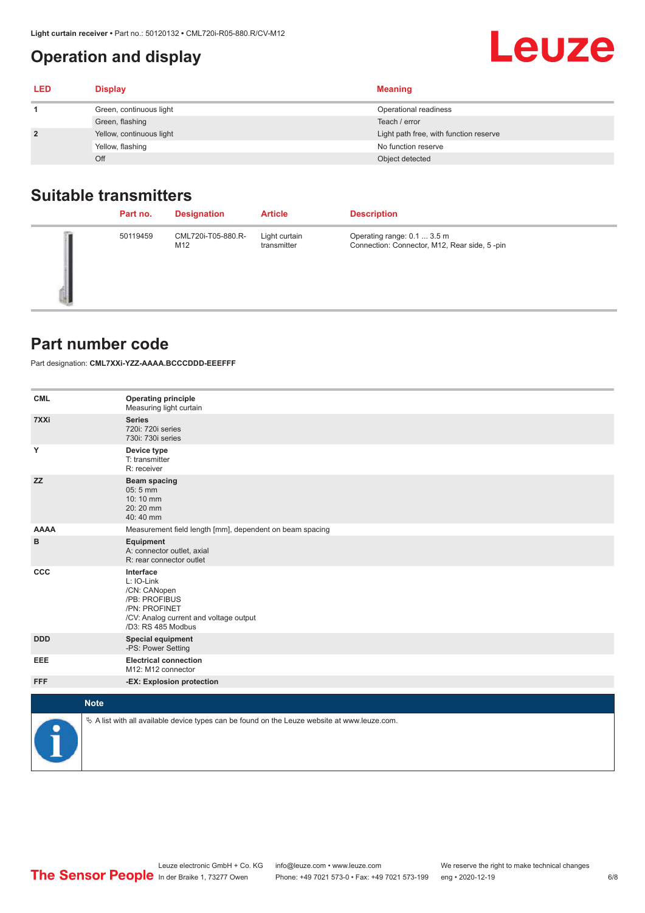## <span id="page-5-0"></span>**Operation and display**

# **Leuze**

| <b>LED</b>     | <b>Display</b>           | <b>Meaning</b>                         |
|----------------|--------------------------|----------------------------------------|
|                | Green, continuous light  | Operational readiness                  |
|                | Green, flashing          | Teach / error                          |
| $\overline{2}$ | Yellow, continuous light | Light path free, with function reserve |
|                | Yellow, flashing         | No function reserve                    |
|                | Off                      | Object detected                        |

#### **Suitable transmitters**

| Part no. | <b>Designation</b>        | <b>Article</b>               | <b>Description</b>                                                          |
|----------|---------------------------|------------------------------|-----------------------------------------------------------------------------|
| 50119459 | CML720i-T05-880.R-<br>M12 | Light curtain<br>transmitter | Operating range: 0.1  3.5 m<br>Connection: Connector, M12, Rear side, 5-pin |

#### **Part number code**

Part designation: **CML7XXi-YZZ-AAAA.BCCCDDD-EEEFFF**

| <b>CML</b>  | <b>Operating principle</b><br>Measuring light curtain                                                                                     |
|-------------|-------------------------------------------------------------------------------------------------------------------------------------------|
| 7XXi        | <b>Series</b><br>720i: 720i series<br>730i: 730i series                                                                                   |
| Υ           | Device type<br>T: transmitter<br>R: receiver                                                                                              |
| <b>ZZ</b>   | <b>Beam spacing</b><br>05:5 mm<br>10:10 mm<br>20:20 mm<br>40:40 mm                                                                        |
| <b>AAAA</b> | Measurement field length [mm], dependent on beam spacing                                                                                  |
| в           | <b>Equipment</b><br>A: connector outlet, axial<br>R: rear connector outlet                                                                |
| CCC         | Interface<br>L: IO-Link<br>/CN: CANopen<br>/PB: PROFIBUS<br>/PN: PROFINET<br>/CV: Analog current and voltage output<br>/D3: RS 485 Modbus |
| <b>DDD</b>  | <b>Special equipment</b><br>-PS: Power Setting                                                                                            |
| EEE         | <b>Electrical connection</b><br>M12: M12 connector                                                                                        |
| <b>FFF</b>  | -EX: Explosion protection                                                                                                                 |
|             | <b>Note</b>                                                                                                                               |
|             | $\&$ A list with all available device types can be found on the Leuze website at www.leuze.com.                                           |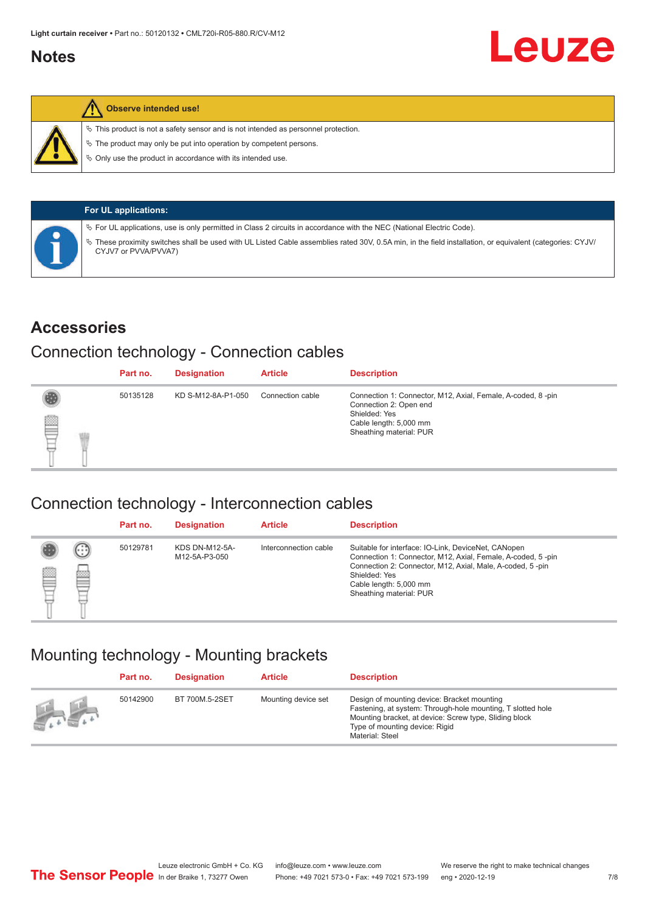#### <span id="page-6-0"></span>**Notes**



#### **Observe intended use!**

 $\%$  This product is not a safety sensor and is not intended as personnel protection.

 $\%$  The product may only be put into operation by competent persons.

 $\%$  Only use the product in accordance with its intended use.

| <b>For UL applications:</b>                                                                                                                                                       |
|-----------------------------------------------------------------------------------------------------------------------------------------------------------------------------------|
| $\%$ For UL applications, use is only permitted in Class 2 circuits in accordance with the NEC (National Electric Code).                                                          |
| V These proximity switches shall be used with UL Listed Cable assemblies rated 30V, 0.5A min, in the field installation, or equivalent (categories: CYJV/<br>CYJV7 or PVVA/PVVA7) |

#### **Accessories**

#### Connection technology - Connection cables

|   | Part no. | <b>Designation</b> | <b>Article</b>   | <b>Description</b>                                                                                                                                          |
|---|----------|--------------------|------------------|-------------------------------------------------------------------------------------------------------------------------------------------------------------|
| ₿ | 50135128 | KD S-M12-8A-P1-050 | Connection cable | Connection 1: Connector, M12, Axial, Female, A-coded, 8-pin<br>Connection 2: Open end<br>Shielded: Yes<br>Cable length: 5,000 mm<br>Sheathing material: PUR |

#### Connection technology - Interconnection cables

|   |                   | Part no. | <b>Designation</b>                     | <b>Article</b>        | <b>Description</b>                                                                                                                                                                                                                                    |
|---|-------------------|----------|----------------------------------------|-----------------------|-------------------------------------------------------------------------------------------------------------------------------------------------------------------------------------------------------------------------------------------------------|
| e | $(\cdot$ : :<br>œ | 50129781 | <b>KDS DN-M12-5A-</b><br>M12-5A-P3-050 | Interconnection cable | Suitable for interface: IO-Link, DeviceNet, CANopen<br>Connection 1: Connector, M12, Axial, Female, A-coded, 5-pin<br>Connection 2: Connector, M12, Axial, Male, A-coded, 5-pin<br>Shielded: Yes<br>Cable length: 5,000 mm<br>Sheathing material: PUR |

#### Mounting technology - Mounting brackets

|                 | Part no. | <b>Designation</b> | <b>Article</b>      | <b>Description</b>                                                                                                                                                                                                        |
|-----------------|----------|--------------------|---------------------|---------------------------------------------------------------------------------------------------------------------------------------------------------------------------------------------------------------------------|
| <b>All Card</b> | 50142900 | BT 700M.5-2SET     | Mounting device set | Design of mounting device: Bracket mounting<br>Fastening, at system: Through-hole mounting, T slotted hole<br>Mounting bracket, at device: Screw type, Sliding block<br>Type of mounting device: Rigid<br>Material: Steel |

Leuze